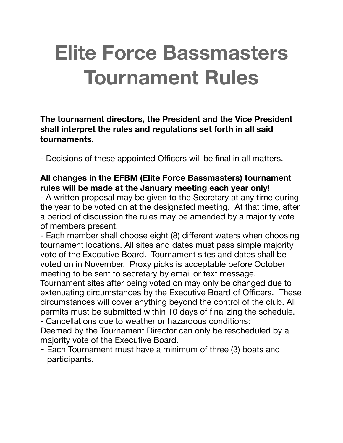# **Elite Force Bassmasters Tournament Rules**

# **The tournament directors, the President and the Vice President shall interpret the rules and regulations set forth in all said tournaments.**

- Decisions of these appointed Officers will be final in all matters.

## **All changes in the EFBM (Elite Force Bassmasters) tournament rules will be made at the January meeting each year only!**

- A written proposal may be given to the Secretary at any time during the year to be voted on at the designated meeting. At that time, after a period of discussion the rules may be amended by a majority vote of members present.

- Each member shall choose eight (8) different waters when choosing tournament locations. All sites and dates must pass simple majority vote of the Executive Board. Tournament sites and dates shall be voted on in November. Proxy picks is acceptable before October meeting to be sent to secretary by email or text message.

Tournament sites after being voted on may only be changed due to extenuating circumstances by the Executive Board of Officers. These circumstances will cover anything beyond the control of the club. All permits must be submitted within 10 days of finalizing the schedule. - Cancellations due to weather or hazardous conditions:

Deemed by the Tournament Director can only be rescheduled by a majority vote of the Executive Board.

- Each Tournament must have a minimum of three (3) boats and participants.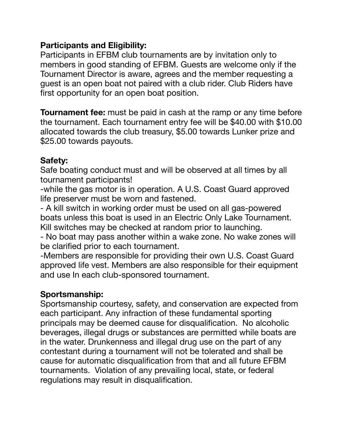#### **Participants and Eligibility:**

Participants in EFBM club tournaments are by invitation only to members in good standing of EFBM. Guests are welcome only if the Tournament Director is aware, agrees and the member requesting a guest is an open boat not paired with a club rider. Club Riders have first opportunity for an open boat position.

**Tournament fee:** must be paid in cash at the ramp or any time before the tournament. Each tournament entry fee will be \$40.00 with \$10.00 allocated towards the club treasury, \$5.00 towards Lunker prize and \$25.00 towards payouts.

## **Safety:**

Safe boating conduct must and will be observed at all times by all tournament participants!

-while the gas motor is in operation. A U.S. Coast Guard approved life preserver must be worn and fastened.

- A kill switch in working order must be used on all gas-powered boats unless this boat is used in an Electric Only Lake Tournament. Kill switches may be checked at random prior to launching.

- No boat may pass another within a wake zone. No wake zones will be clarified prior to each tournament.

-Members are responsible for providing their own U.S. Coast Guard approved life vest. Members are also responsible for their equipment and use In each club-sponsored tournament.

# **Sportsmanship:**

Sportsmanship courtesy, safety, and conservation are expected from each participant. Any infraction of these fundamental sporting principals may be deemed cause for disqualification. No alcoholic beverages, illegal drugs or substances are permitted while boats are in the water. Drunkenness and illegal drug use on the part of any contestant during a tournament will not be tolerated and shall be cause for automatic disqualification from that and all future EFBM tournaments. Violation of any prevailing local, state, or federal regulations may result in disqualification.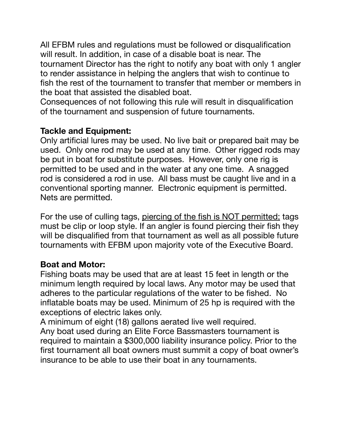All EFBM rules and regulations must be followed or disqualification will result. In addition, in case of a disable boat is near. The tournament Director has the right to notify any boat with only 1 angler to render assistance in helping the anglers that wish to continue to fish the rest of the tournament to transfer that member or members in the boat that assisted the disabled boat.

Consequences of not following this rule will result in disqualification of the tournament and suspension of future tournaments.

## **Tackle and Equipment:**

Only artificial lures may be used. No live bait or prepared bait may be used. Only one rod may be used at any time. Other rigged rods may be put in boat for substitute purposes. However, only one rig is permitted to be used and in the water at any one time. A snagged rod is considered a rod in use. All bass must be caught live and in a conventional sporting manner. Electronic equipment is permitted. Nets are permitted.

For the use of culling tags, piercing of the fish is NOT permitted; tags must be clip or loop style. If an angler is found piercing their fish they will be disqualified from that tournament as well as all possible future tournaments with EFBM upon majority vote of the Executive Board.

# **Boat and Motor:**

Fishing boats may be used that are at least 15 feet in length or the minimum length required by local laws. Any motor may be used that adheres to the particular regulations of the water to be fished. No inflatable boats may be used. Minimum of 25 hp is required with the exceptions of electric lakes only.

A minimum of eight (18) gallons aerated live well required. Any boat used during an Elite Force Bassmasters tournament is required to maintain a \$300,000 liability insurance policy. Prior to the first tournament all boat owners must summit a copy of boat owner's insurance to be able to use their boat in any tournaments.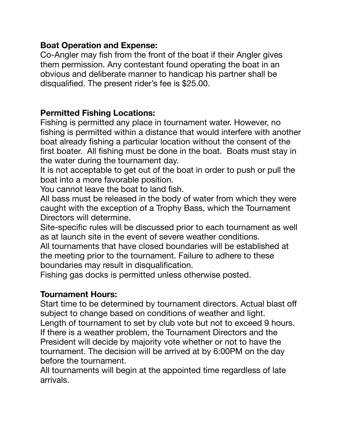#### **Boat Operation and Expense:**

Co-Angler may fish from the front of the boat if their Angler gives them permission. Any contestant found operating the boat in an obvious and deliberate manner to handicap his partner shall be disqualified. The present rider's fee is \$25.00.

# **Permitted Fishing Locations:**

Fishing is permitted any place in tournament water. However, no fishing is permitted within a distance that would interfere with another boat already fishing a particular location without the consent of the first boater. All fishing must be done in the boat. Boats must stay in the water during the tournament day.

It is not acceptable to get out of the boat in order to push or pull the boat into a more favorable position.

You cannot leave the boat to land fish.

All bass must be released in the body of water from which they were caught with the exception of a Trophy Bass, which the Tournament Directors will determine.

Site-specific rules will be discussed prior to each tournament as well as at launch site in the event of severe weather conditions.

All tournaments that have closed boundaries will be established at the meeting prior to the tournament. Failure to adhere to these boundaries may result in disqualification.

Fishing gas docks is permitted unless otherwise posted.

#### **Tournament Hours:**

Start time to be determined by tournament directors. Actual blast off subject to change based on conditions of weather and light.

Length of tournament to set by club vote but not to exceed 9 hours. If there is a weather problem, the Tournament Directors and the President will decide by majority vote whether or not to have the tournament. The decision will be arrived at by 6:00PM on the day before the tournament.

All tournaments will begin at the appointed time regardless of late arrivals.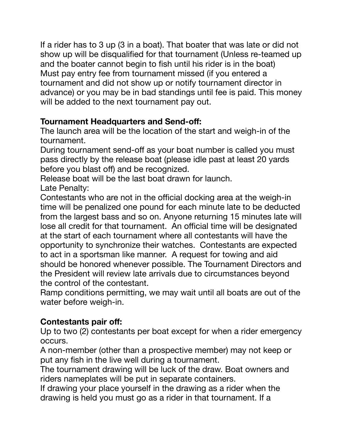If a rider has to 3 up (3 in a boat). That boater that was late or did not show up will be disqualified for that tournament (Unless re-teamed up and the boater cannot begin to fish until his rider is in the boat) Must pay entry fee from tournament missed (if you entered a tournament and did not show up or notify tournament director in advance) or you may be in bad standings until fee is paid. This money will be added to the next tournament pay out.

# **Tournament Headquarters and Send-off:**

The launch area will be the location of the start and weigh-in of the tournament.

During tournament send-off as your boat number is called you must pass directly by the release boat (please idle past at least 20 yards before you blast off) and be recognized.

Release boat will be the last boat drawn for launch. Late Penalty:

Contestants who are not in the official docking area at the weigh-in time will be penalized one pound for each minute late to be deducted from the largest bass and so on. Anyone returning 15 minutes late will lose all credit for that tournament. An official time will be designated at the start of each tournament where all contestants will have the opportunity to synchronize their watches. Contestants are expected to act in a sportsman like manner. A request for towing and aid should be honored whenever possible. The Tournament Directors and the President will review late arrivals due to circumstances beyond the control of the contestant.

Ramp conditions permitting, we may wait until all boats are out of the water before weigh-in.

# **Contestants pair off:**

Up to two (2) contestants per boat except for when a rider emergency occurs.

A non-member (other than a prospective member) may not keep or put any fish in the live well during a tournament.

The tournament drawing will be luck of the draw. Boat owners and riders nameplates will be put in separate containers.

If drawing your place yourself in the drawing as a rider when the drawing is held you must go as a rider in that tournament. If a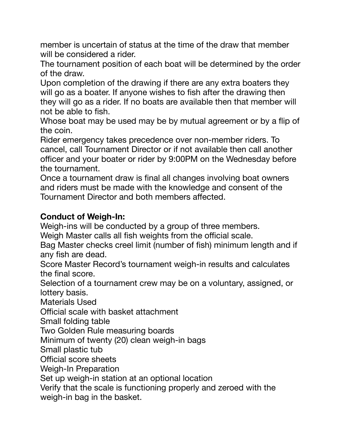member is uncertain of status at the time of the draw that member will be considered a rider.

The tournament position of each boat will be determined by the order of the draw.

Upon completion of the drawing if there are any extra boaters they will go as a boater. If anyone wishes to fish after the drawing then they will go as a rider. If no boats are available then that member will not be able to fish.

Whose boat may be used may be by mutual agreement or by a flip of the coin.

Rider emergency takes precedence over non-member riders. To cancel, call Tournament Director or if not available then call another officer and your boater or rider by 9:00PM on the Wednesday before the tournament.

Once a tournament draw is final all changes involving boat owners and riders must be made with the knowledge and consent of the Tournament Director and both members affected.

# **Conduct of Weigh-In:**

Weigh-ins will be conducted by a group of three members.

Weigh Master calls all fish weights from the official scale.

Bag Master checks creel limit (number of fish) minimum length and if any fish are dead.

Score Master Record's tournament weigh-in results and calculates the final score.

Selection of a tournament crew may be on a voluntary, assigned, or lottery basis.

Materials Used

Official scale with basket attachment

Small folding table

Two Golden Rule measuring boards

Minimum of twenty (20) clean weigh-in bags

Small plastic tub

Official score sheets

Weigh-In Preparation

Set up weigh-in station at an optional location

Verify that the scale is functioning properly and zeroed with the weigh-in bag in the basket.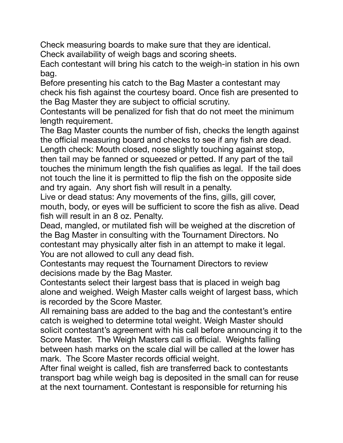Check measuring boards to make sure that they are identical. Check availability of weigh bags and scoring sheets.

Each contestant will bring his catch to the weigh-in station in his own bag.

Before presenting his catch to the Bag Master a contestant may check his fish against the courtesy board. Once fish are presented to the Bag Master they are subject to official scrutiny.

Contestants will be penalized for fish that do not meet the minimum length requirement.

The Bag Master counts the number of fish, checks the length against the official measuring board and checks to see if any fish are dead. Length check: Mouth closed, nose slightly touching against stop, then tail may be fanned or squeezed or petted. If any part of the tail touches the minimum length the fish qualifies as legal. If the tail does not touch the line it is permitted to flip the fish on the opposite side

and try again. Any short fish will result in a penalty.

Live or dead status: Any movements of the fins, gills, gill cover, mouth, body, or eyes will be sufficient to score the fish as alive. Dead fish will result in an 8 oz. Penalty.

Dead, mangled, or mutilated fish will be weighed at the discretion of the Bag Master in consulting with the Tournament Directors. No contestant may physically alter fish in an attempt to make it legal. You are not allowed to cull any dead fish.

Contestants may request the Tournament Directors to review decisions made by the Bag Master.

Contestants select their largest bass that is placed in weigh bag alone and weighed. Weigh Master calls weight of largest bass, which is recorded by the Score Master.

All remaining bass are added to the bag and the contestant's entire catch is weighed to determine total weight. Weigh Master should solicit contestant's agreement with his call before announcing it to the Score Master. The Weigh Masters call is official. Weights falling between hash marks on the scale dial will be called at the lower has mark. The Score Master records official weight.

After final weight is called, fish are transferred back to contestants transport bag while weigh bag is deposited in the small can for reuse at the next tournament. Contestant is responsible for returning his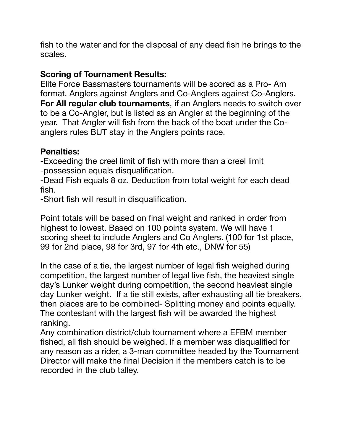fish to the water and for the disposal of any dead fish he brings to the scales.

## **Scoring of Tournament Results:**

Elite Force Bassmasters tournaments will be scored as a Pro- Am format. Anglers against Anglers and Co-Anglers against Co-Anglers. **For All regular club tournaments**, if an Anglers needs to switch over to be a Co-Angler, but is listed as an Angler at the beginning of the year. That Angler will fish from the back of the boat under the Coanglers rules BUT stay in the Anglers points race.

## **Penalties:**

-Exceeding the creel limit of fish with more than a creel limit -possession equals disqualification.

-Dead Fish equals 8 oz. Deduction from total weight for each dead fish.

-Short fish will result in disqualification.

Point totals will be based on final weight and ranked in order from highest to lowest. Based on 100 points system. We will have 1 scoring sheet to include Anglers and Co Anglers. (100 for 1st place, 99 for 2nd place, 98 for 3rd, 97 for 4th etc., DNW for 55)

In the case of a tie, the largest number of legal fish weighed during competition, the largest number of legal live fish, the heaviest single day's Lunker weight during competition, the second heaviest single day Lunker weight. If a tie still exists, after exhausting all tie breakers, then places are to be combined- Splitting money and points equally. The contestant with the largest fish will be awarded the highest ranking.

Any combination district/club tournament where a EFBM member fished, all fish should be weighed. If a member was disqualified for any reason as a rider, a 3-man committee headed by the Tournament Director will make the final Decision if the members catch is to be recorded in the club talley.